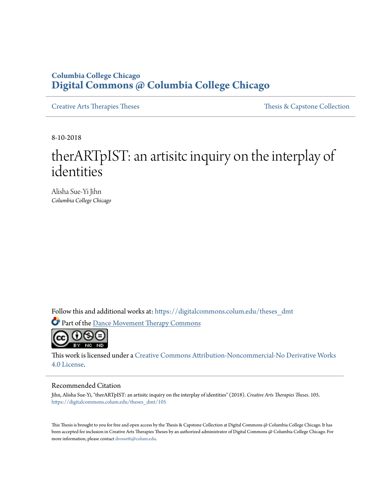# **Columbia College Chicago [Digital Commons @ Columbia College Chicago](https://digitalcommons.colum.edu?utm_source=digitalcommons.colum.edu%2Ftheses_dmt%2F105&utm_medium=PDF&utm_campaign=PDFCoverPages)**

[Creative Arts Therapies Theses](https://digitalcommons.colum.edu/theses_dmt?utm_source=digitalcommons.colum.edu%2Ftheses_dmt%2F105&utm_medium=PDF&utm_campaign=PDFCoverPages) Theses Theses [Thesis & Capstone Collection](https://digitalcommons.colum.edu/thesiscoll?utm_source=digitalcommons.colum.edu%2Ftheses_dmt%2F105&utm_medium=PDF&utm_campaign=PDFCoverPages)

8-10-2018

# therARTpIST: an artisitc inquiry on the interplay of identities

Alisha Sue-Yi Jihn *Columbia College Chicago*

Follow this and additional works at: [https://digitalcommons.colum.edu/theses\\_dmt](https://digitalcommons.colum.edu/theses_dmt?utm_source=digitalcommons.colum.edu%2Ftheses_dmt%2F105&utm_medium=PDF&utm_campaign=PDFCoverPages)

Part of the [Dance Movement Therapy Commons](http://network.bepress.com/hgg/discipline/1150?utm_source=digitalcommons.colum.edu%2Ftheses_dmt%2F105&utm_medium=PDF&utm_campaign=PDFCoverPages)



This work is licensed under a [Creative Commons Attribution-Noncommercial-No Derivative Works](http://creativecommons.org/licenses/by-nc-nd/4.0/) [4.0 License.](http://creativecommons.org/licenses/by-nc-nd/4.0/)

#### Recommended Citation

Jihn, Alisha Sue-Yi, "therARTpIST: an artisitc inquiry on the interplay of identities" (2018). *Creative Arts Therapies Theses*. 105. [https://digitalcommons.colum.edu/theses\\_dmt/105](https://digitalcommons.colum.edu/theses_dmt/105?utm_source=digitalcommons.colum.edu%2Ftheses_dmt%2F105&utm_medium=PDF&utm_campaign=PDFCoverPages)

This Thesis is brought to you for free and open access by the Thesis & Capstone Collection at Digital Commons @ Columbia College Chicago. It has been accepted for inclusion in Creative Arts Therapies Theses by an authorized administrator of Digital Commons @ Columbia College Chicago. For more information, please contact [drossetti@colum.edu.](mailto:drossetti@colum.edu)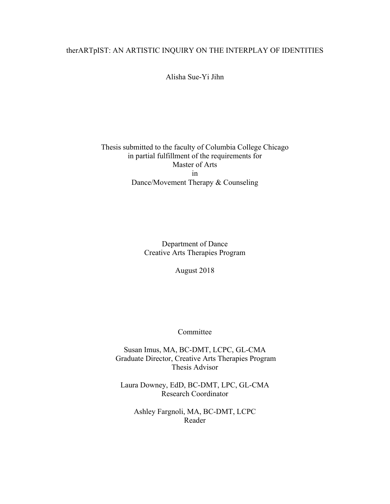# therARTpIST: AN ARTISTIC INQUIRY ON THE INTERPLAY OF IDENTITIES

Alisha Sue-Yi Jihn

# Thesis submitted to the faculty of Columbia College Chicago in partial fulfillment of the requirements for Master of Arts in Dance/Movement Therapy & Counseling

Department of Dance Creative Arts Therapies Program

August 2018

Committee

Susan Imus, MA, BC-DMT, LCPC, GL-CMA Graduate Director, Creative Arts Therapies Program Thesis Advisor

Laura Downey, EdD, BC-DMT, LPC, GL-CMA Research Coordinator

Ashley Fargnoli, MA, BC-DMT, LCPC Reader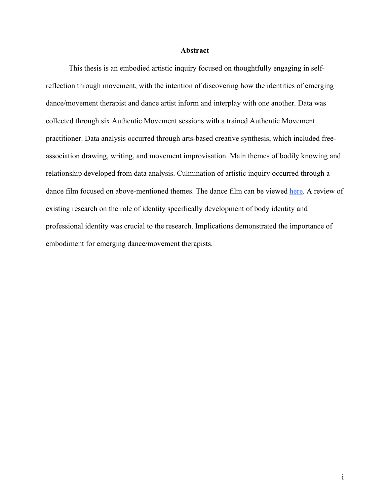#### **Abstract**

This thesis is an embodied artistic inquiry focused on thoughtfully engaging in selfreflection through movement, with the intention of discovering how the identities of emerging dance/movement therapist and dance artist inform and interplay with one another. Data was collected through six Authentic Movement sessions with a trained Authentic Movement practitioner. Data analysis occurred through arts-based creative synthesis, which included freeassociation drawing, writing, and movement improvisation. Main themes of bodily knowing and relationship developed from data analysis. Culmination of artistic inquiry occurred through a dance film focused on above-mentioned themes. The dance film can be viewed here. A review of existing research on the role of identity specifically development of body identity and professional identity was crucial to the research. Implications demonstrated the importance of embodiment for emerging dance/movement therapists.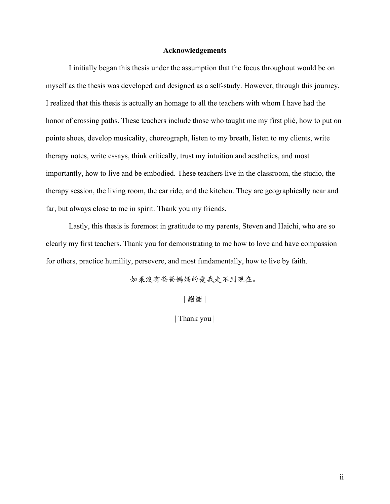#### **Acknowledgements**

I initially began this thesis under the assumption that the focus throughout would be on myself as the thesis was developed and designed as a self-study. However, through this journey, I realized that this thesis is actually an homage to all the teachers with whom I have had the honor of crossing paths. These teachers include those who taught me my first plié, how to put on pointe shoes, develop musicality, choreograph, listen to my breath, listen to my clients, write therapy notes, write essays, think critically, trust my intuition and aesthetics, and most importantly, how to live and be embodied. These teachers live in the classroom, the studio, the therapy session, the living room, the car ride, and the kitchen. They are geographically near and far, but always close to me in spirit. Thank you my friends.

Lastly, this thesis is foremost in gratitude to my parents, Steven and Haichi, who are so clearly my first teachers. Thank you for demonstrating to me how to love and have compassion for others, practice humility, persevere, and most fundamentally, how to live by faith.

如果沒有爸爸媽媽的愛我走不到现在。

| 謝謝 |

| Thank you |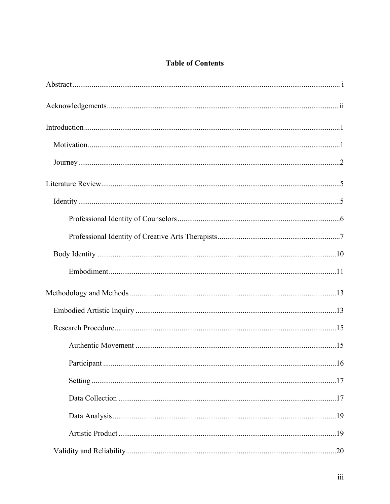# **Table of Contents**

| .16 |
|-----|
|     |
|     |
|     |
|     |
|     |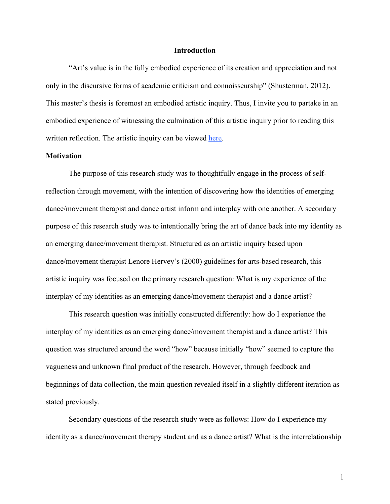#### **Introduction**

"Art's value is in the fully embodied experience of its creation and appreciation and not only in the discursive forms of academic criticism and connoisseurship" (Shusterman, 2012). This master's thesis is foremost an embodied artistic inquiry. Thus, I invite you to partake in an embodied experience of witnessing the culmination of this artistic inquiry prior to reading this written reflection. The artistic inquiry can be viewed here.

## **Motivation**

The purpose of this research study was to thoughtfully engage in the process of selfreflection through movement, with the intention of discovering how the identities of emerging dance/movement therapist and dance artist inform and interplay with one another. A secondary purpose of this research study was to intentionally bring the art of dance back into my identity as an emerging dance/movement therapist. Structured as an artistic inquiry based upon dance/movement therapist Lenore Hervey's (2000) guidelines for arts-based research, this artistic inquiry was focused on the primary research question: What is my experience of the interplay of my identities as an emerging dance/movement therapist and a dance artist?

This research question was initially constructed differently: how do I experience the interplay of my identities as an emerging dance/movement therapist and a dance artist? This question was structured around the word "how" because initially "how" seemed to capture the vagueness and unknown final product of the research. However, through feedback and beginnings of data collection, the main question revealed itself in a slightly different iteration as stated previously.

Secondary questions of the research study were as follows: How do I experience my identity as a dance/movement therapy student and as a dance artist? What is the interrelationship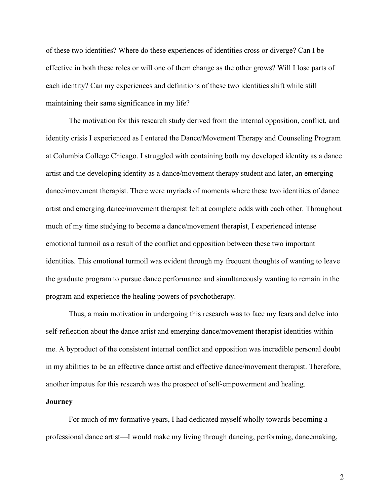of these two identities? Where do these experiences of identities cross or diverge? Can I be effective in both these roles or will one of them change as the other grows? Will I lose parts of each identity? Can my experiences and definitions of these two identities shift while still maintaining their same significance in my life?

The motivation for this research study derived from the internal opposition, conflict, and identity crisis I experienced as I entered the Dance/Movement Therapy and Counseling Program at Columbia College Chicago. I struggled with containing both my developed identity as a dance artist and the developing identity as a dance/movement therapy student and later, an emerging dance/movement therapist. There were myriads of moments where these two identities of dance artist and emerging dance/movement therapist felt at complete odds with each other. Throughout much of my time studying to become a dance/movement therapist, I experienced intense emotional turmoil as a result of the conflict and opposition between these two important identities. This emotional turmoil was evident through my frequent thoughts of wanting to leave the graduate program to pursue dance performance and simultaneously wanting to remain in the program and experience the healing powers of psychotherapy.

Thus, a main motivation in undergoing this research was to face my fears and delve into self-reflection about the dance artist and emerging dance/movement therapist identities within me. A byproduct of the consistent internal conflict and opposition was incredible personal doubt in my abilities to be an effective dance artist and effective dance/movement therapist. Therefore, another impetus for this research was the prospect of self-empowerment and healing.

### **Journey**

For much of my formative years, I had dedicated myself wholly towards becoming a professional dance artist—I would make my living through dancing, performing, dancemaking,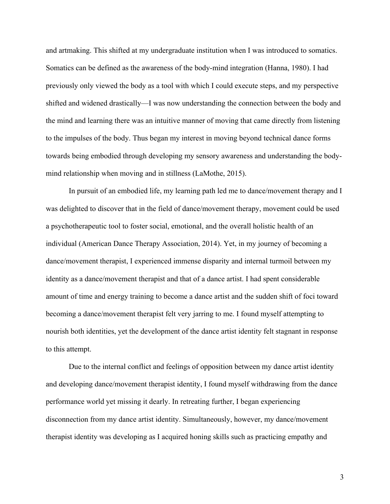and artmaking. This shifted at my undergraduate institution when I was introduced to somatics. Somatics can be defined as the awareness of the body-mind integration (Hanna, 1980). I had previously only viewed the body as a tool with which I could execute steps, and my perspective shifted and widened drastically—I was now understanding the connection between the body and the mind and learning there was an intuitive manner of moving that came directly from listening to the impulses of the body. Thus began my interest in moving beyond technical dance forms towards being embodied through developing my sensory awareness and understanding the bodymind relationship when moving and in stillness (LaMothe, 2015).

In pursuit of an embodied life, my learning path led me to dance/movement therapy and I was delighted to discover that in the field of dance/movement therapy, movement could be used a psychotherapeutic tool to foster social, emotional, and the overall holistic health of an individual (American Dance Therapy Association, 2014). Yet, in my journey of becoming a dance/movement therapist, I experienced immense disparity and internal turmoil between my identity as a dance/movement therapist and that of a dance artist. I had spent considerable amount of time and energy training to become a dance artist and the sudden shift of foci toward becoming a dance/movement therapist felt very jarring to me. I found myself attempting to nourish both identities, yet the development of the dance artist identity felt stagnant in response to this attempt.

Due to the internal conflict and feelings of opposition between my dance artist identity and developing dance/movement therapist identity, I found myself withdrawing from the dance performance world yet missing it dearly. In retreating further, I began experiencing disconnection from my dance artist identity. Simultaneously, however, my dance/movement therapist identity was developing as I acquired honing skills such as practicing empathy and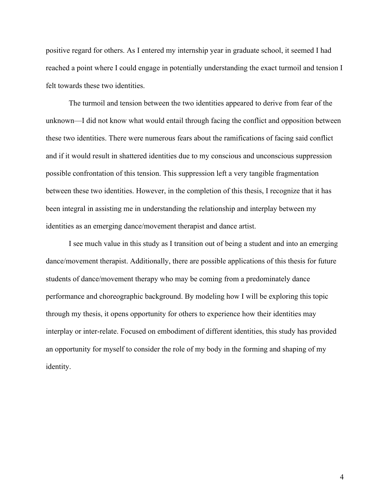positive regard for others. As I entered my internship year in graduate school, it seemed I had reached a point where I could engage in potentially understanding the exact turmoil and tension I felt towards these two identities.

The turmoil and tension between the two identities appeared to derive from fear of the unknown—I did not know what would entail through facing the conflict and opposition between these two identities. There were numerous fears about the ramifications of facing said conflict and if it would result in shattered identities due to my conscious and unconscious suppression possible confrontation of this tension. This suppression left a very tangible fragmentation between these two identities. However, in the completion of this thesis, I recognize that it has been integral in assisting me in understanding the relationship and interplay between my identities as an emerging dance/movement therapist and dance artist.

I see much value in this study as I transition out of being a student and into an emerging dance/movement therapist. Additionally, there are possible applications of this thesis for future students of dance/movement therapy who may be coming from a predominately dance performance and choreographic background. By modeling how I will be exploring this topic through my thesis, it opens opportunity for others to experience how their identities may interplay or inter-relate. Focused on embodiment of different identities, this study has provided an opportunity for myself to consider the role of my body in the forming and shaping of my identity.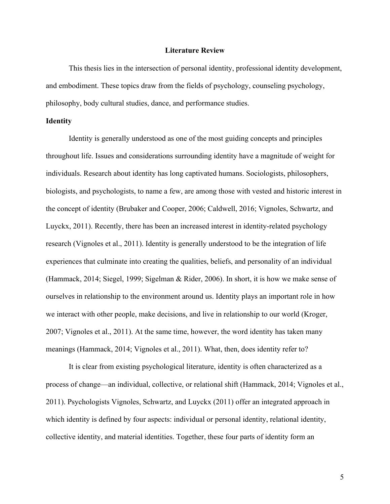#### **Literature Review**

This thesis lies in the intersection of personal identity, professional identity development, and embodiment. These topics draw from the fields of psychology, counseling psychology, philosophy, body cultural studies, dance, and performance studies.

#### **Identity**

Identity is generally understood as one of the most guiding concepts and principles throughout life. Issues and considerations surrounding identity have a magnitude of weight for individuals. Research about identity has long captivated humans. Sociologists, philosophers, biologists, and psychologists, to name a few, are among those with vested and historic interest in the concept of identity (Brubaker and Cooper, 2006; Caldwell, 2016; Vignoles, Schwartz, and Luyckx, 2011). Recently, there has been an increased interest in identity-related psychology research (Vignoles et al., 2011). Identity is generally understood to be the integration of life experiences that culminate into creating the qualities, beliefs, and personality of an individual (Hammack, 2014; Siegel, 1999; Sigelman & Rider, 2006). In short, it is how we make sense of ourselves in relationship to the environment around us. Identity plays an important role in how we interact with other people, make decisions, and live in relationship to our world (Kroger, 2007; Vignoles et al., 2011). At the same time, however, the word identity has taken many meanings (Hammack, 2014; Vignoles et al., 2011). What, then, does identity refer to?

It is clear from existing psychological literature, identity is often characterized as a process of change—an individual, collective, or relational shift (Hammack, 2014; Vignoles et al., 2011). Psychologists Vignoles, Schwartz, and Luyckx (2011) offer an integrated approach in which identity is defined by four aspects: individual or personal identity, relational identity, collective identity, and material identities. Together, these four parts of identity form an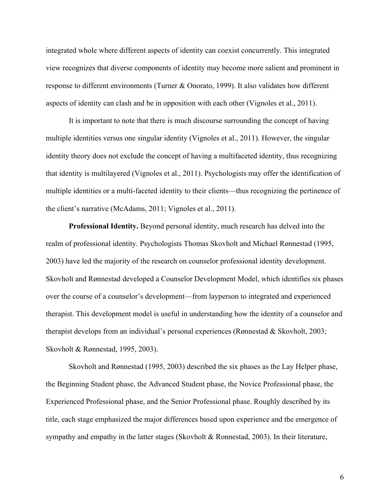integrated whole where different aspects of identity can coexist concurrently. This integrated view recognizes that diverse components of identity may become more salient and prominent in response to different environments (Turner & Onorato, 1999). It also validates how different aspects of identity can clash and be in opposition with each other (Vignoles et al., 2011).

It is important to note that there is much discourse surrounding the concept of having multiple identities versus one singular identity (Vignoles et al., 2011). However, the singular identity theory does not exclude the concept of having a multifaceted identity, thus recognizing that identity is multilayered (Vignoles et al., 2011). Psychologists may offer the identification of multiple identities or a multi-faceted identity to their clients—thus recognizing the pertinence of the client's narrative (McAdams, 2011; Vignoles et al., 2011).

**Professional Identity.** Beyond personal identity, much research has delved into the realm of professional identity. Psychologists Thomas Skovholt and Michael Rønnestad (1995, 2003) have led the majority of the research on counselor professional identity development. Skovholt and Rønnestad developed a Counselor Development Model, which identifies six phases over the course of a counselor's development—from layperson to integrated and experienced therapist. This development model is useful in understanding how the identity of a counselor and therapist develops from an individual's personal experiences (Rønnestad & Skovholt, 2003; Skovholt & Rønnestad, 1995, 2003).

Skovholt and Rønnestad (1995, 2003) described the six phases as the Lay Helper phase, the Beginning Student phase, the Advanced Student phase, the Novice Professional phase, the Experienced Professional phase, and the Senior Professional phase. Roughly described by its title, each stage emphasized the major differences based upon experience and the emergence of sympathy and empathy in the latter stages (Skovholt & Ronnestad, 2003). In their literature,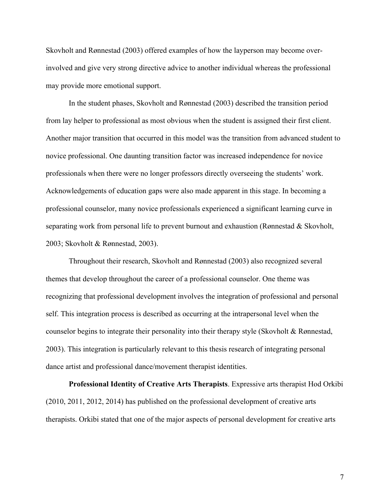Skovholt and Rønnestad (2003) offered examples of how the layperson may become overinvolved and give very strong directive advice to another individual whereas the professional may provide more emotional support.

In the student phases, Skovholt and Rønnestad (2003) described the transition period from lay helper to professional as most obvious when the student is assigned their first client. Another major transition that occurred in this model was the transition from advanced student to novice professional. One daunting transition factor was increased independence for novice professionals when there were no longer professors directly overseeing the students' work. Acknowledgements of education gaps were also made apparent in this stage. In becoming a professional counselor, many novice professionals experienced a significant learning curve in separating work from personal life to prevent burnout and exhaustion (Rønnestad & Skovholt, 2003; Skovholt & Rønnestad, 2003).

Throughout their research, Skovholt and Rønnestad (2003) also recognized several themes that develop throughout the career of a professional counselor. One theme was recognizing that professional development involves the integration of professional and personal self. This integration process is described as occurring at the intrapersonal level when the counselor begins to integrate their personality into their therapy style (Skovholt & Rønnestad, 2003). This integration is particularly relevant to this thesis research of integrating personal dance artist and professional dance/movement therapist identities.

**Professional Identity of Creative Arts Therapists**. Expressive arts therapist Hod Orkibi (2010, 2011, 2012, 2014) has published on the professional development of creative arts therapists. Orkibi stated that one of the major aspects of personal development for creative arts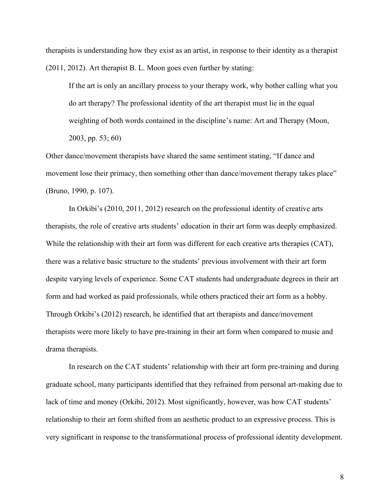therapists is understanding how they exist as an artist, in response to their identity as a therapist (2011, 2012). Art therapist B. L. Moon goes even further by stating:

If the art is only an ancillary process to your therapy work, why bother calling what you do art therapy? The professional identity of the art therapist must lie in the equal weighting of both words contained in the discipline's name: Art and Therapy (Moon, 2003, pp. 53; 60)

Other dance/movement therapists have shared the same sentiment stating, "If dance and movement lose their primacy, then something other than dance/movement therapy takes place" (Bruno, 1990, p. 107).

In Orkibi's (2010, 2011, 2012) research on the professional identity of creative arts therapists, the role of creative arts students' education in their art form was deeply emphasized. While the relationship with their art form was different for each creative arts therapies (CAT), there was a relative basic structure to the students' previous involvement with their art form despite varying levels of experience. Some CAT students had undergraduate degrees in their art form and had worked as paid professionals, while others practiced their art form as a hobby. Through Orkibi's (2012) research, he identified that art therapists and dance/movement therapists were more likely to have pre-training in their art form when compared to music and drama therapists.

In research on the CAT students' relationship with their art form pre-training and during graduate school, many participants identified that they refrained from personal art-making due to lack of time and money (Orkibi, 2012). Most significantly, however, was how CAT students' relationship to their art form shifted from an aesthetic product to an expressive process. This is very significant in response to the transformational process of professional identity development.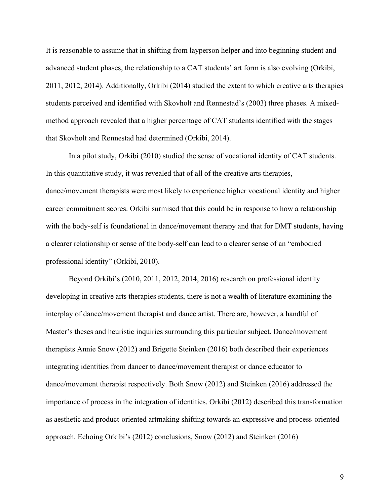It is reasonable to assume that in shifting from layperson helper and into beginning student and advanced student phases, the relationship to a CAT students' art form is also evolving (Orkibi, 2011, 2012, 2014). Additionally, Orkibi (2014) studied the extent to which creative arts therapies students perceived and identified with Skovholt and Rønnestad's (2003) three phases. A mixedmethod approach revealed that a higher percentage of CAT students identified with the stages that Skovholt and Rønnestad had determined (Orkibi, 2014).

In a pilot study, Orkibi (2010) studied the sense of vocational identity of CAT students. In this quantitative study, it was revealed that of all of the creative arts therapies, dance/movement therapists were most likely to experience higher vocational identity and higher career commitment scores. Orkibi surmised that this could be in response to how a relationship with the body-self is foundational in dance/movement therapy and that for DMT students, having a clearer relationship or sense of the body-self can lead to a clearer sense of an "embodied professional identity" (Orkibi, 2010).

Beyond Orkibi's (2010, 2011, 2012, 2014, 2016) research on professional identity developing in creative arts therapies students, there is not a wealth of literature examining the interplay of dance/movement therapist and dance artist. There are, however, a handful of Master's theses and heuristic inquiries surrounding this particular subject. Dance/movement therapists Annie Snow (2012) and Brigette Steinken (2016) both described their experiences integrating identities from dancer to dance/movement therapist or dance educator to dance/movement therapist respectively. Both Snow (2012) and Steinken (2016) addressed the importance of process in the integration of identities. Orkibi (2012) described this transformation as aesthetic and product-oriented artmaking shifting towards an expressive and process-oriented approach. Echoing Orkibi's (2012) conclusions, Snow (2012) and Steinken (2016)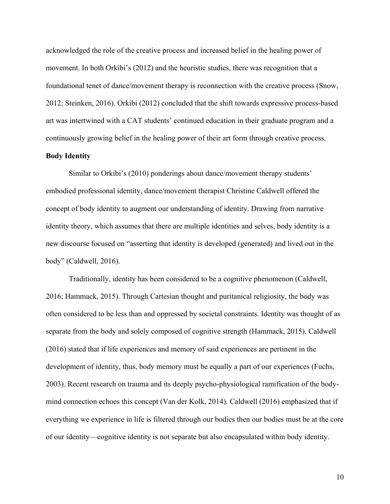acknowledged the role of the creative process and increased belief in the healing power of movement. In both Orkibi's (2012) and the heuristic studies, there was recognition that a foundational tenet of dance/movement therapy is reconnection with the creative process (Snow, 2012; Steinken, 2016). Orkibi (2012) concluded that the shift towards expressive process-based art was intertwined with a CAT students' continued education in their graduate program and a continuously growing belief in the healing power of their art form through creative process.

#### **Body Identity**

Similar to Orkibi's (2010) ponderings about dance/movement therapy students' embodied professional identity, dance/movement therapist Christine Caldwell offered the concept of body identity to augment our understanding of identity. Drawing from narrative identity theory, which assumes that there are multiple identities and selves, body identity is a new discourse focused on "asserting that identity is developed (generated) and lived out in the body" (Caldwell, 2016).

Traditionally, identity has been considered to be a cognitive phenomenon (Caldwell, 2016; Hammack, 2015). Through Cartesian thought and puritanical religiosity, the body was often considered to be less than and oppressed by societal constraints. Identity was thought of as separate from the body and solely composed of cognitive strength (Hammack, 2015). Caldwell (2016) stated that if life experiences and memory of said experiences are pertinent in the development of identity, thus, body memory must be equally a part of our experiences (Fuchs, 2003). Recent research on trauma and its deeply psycho-physiological ramification of the bodymind connection echoes this concept (Van der Kolk, 2014). Caldwell (2016) emphasized that if everything we experience in life is filtered through our bodies then our bodies must be at the core of our identity—cognitive identity is not separate but also encapsulated within body identity.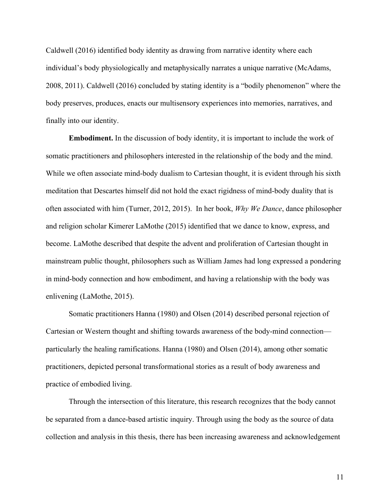Caldwell (2016) identified body identity as drawing from narrative identity where each individual's body physiologically and metaphysically narrates a unique narrative (McAdams, 2008, 2011). Caldwell (2016) concluded by stating identity is a "bodily phenomenon" where the body preserves, produces, enacts our multisensory experiences into memories, narratives, and finally into our identity.

**Embodiment.** In the discussion of body identity, it is important to include the work of somatic practitioners and philosophers interested in the relationship of the body and the mind. While we often associate mind-body dualism to Cartesian thought, it is evident through his sixth meditation that Descartes himself did not hold the exact rigidness of mind-body duality that is often associated with him (Turner, 2012, 2015). In her book, *Why We Dance*, dance philosopher and religion scholar Kimerer LaMothe (2015) identified that we dance to know, express, and become. LaMothe described that despite the advent and proliferation of Cartesian thought in mainstream public thought, philosophers such as William James had long expressed a pondering in mind-body connection and how embodiment, and having a relationship with the body was enlivening (LaMothe, 2015).

Somatic practitioners Hanna (1980) and Olsen (2014) described personal rejection of Cartesian or Western thought and shifting towards awareness of the body-mind connection particularly the healing ramifications. Hanna (1980) and Olsen (2014), among other somatic practitioners, depicted personal transformational stories as a result of body awareness and practice of embodied living.

Through the intersection of this literature, this research recognizes that the body cannot be separated from a dance-based artistic inquiry. Through using the body as the source of data collection and analysis in this thesis, there has been increasing awareness and acknowledgement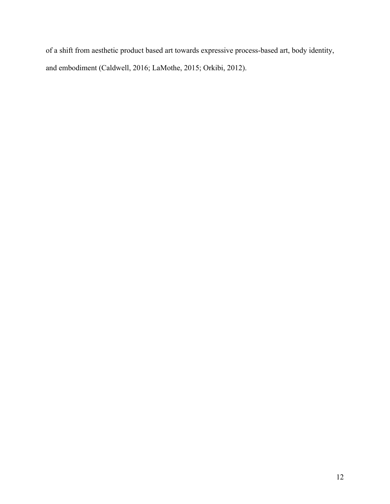of a shift from aesthetic product based art towards expressive process-based art, body identity, and embodiment (Caldwell, 2016; LaMothe, 2015; Orkibi, 2012).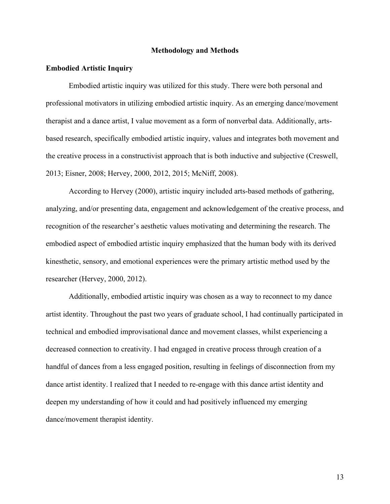#### **Methodology and Methods**

#### **Embodied Artistic Inquiry**

Embodied artistic inquiry was utilized for this study. There were both personal and professional motivators in utilizing embodied artistic inquiry. As an emerging dance/movement therapist and a dance artist, I value movement as a form of nonverbal data. Additionally, artsbased research, specifically embodied artistic inquiry, values and integrates both movement and the creative process in a constructivist approach that is both inductive and subjective (Creswell, 2013; Eisner, 2008; Hervey, 2000, 2012, 2015; McNiff, 2008).

According to Hervey (2000), artistic inquiry included arts-based methods of gathering, analyzing, and/or presenting data, engagement and acknowledgement of the creative process, and recognition of the researcher's aesthetic values motivating and determining the research. The embodied aspect of embodied artistic inquiry emphasized that the human body with its derived kinesthetic, sensory, and emotional experiences were the primary artistic method used by the researcher (Hervey, 2000, 2012).

Additionally, embodied artistic inquiry was chosen as a way to reconnect to my dance artist identity. Throughout the past two years of graduate school, I had continually participated in technical and embodied improvisational dance and movement classes, whilst experiencing a decreased connection to creativity. I had engaged in creative process through creation of a handful of dances from a less engaged position, resulting in feelings of disconnection from my dance artist identity. I realized that I needed to re-engage with this dance artist identity and deepen my understanding of how it could and had positively influenced my emerging dance/movement therapist identity.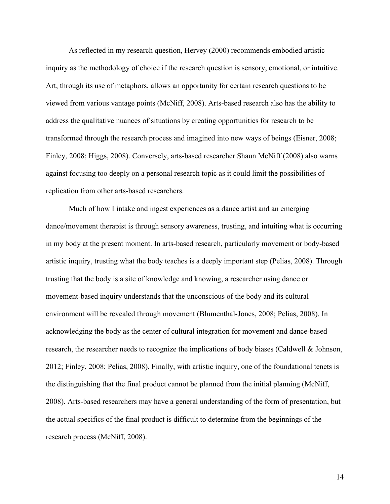As reflected in my research question, Hervey (2000) recommends embodied artistic inquiry as the methodology of choice if the research question is sensory, emotional, or intuitive. Art, through its use of metaphors, allows an opportunity for certain research questions to be viewed from various vantage points (McNiff, 2008). Arts-based research also has the ability to address the qualitative nuances of situations by creating opportunities for research to be transformed through the research process and imagined into new ways of beings (Eisner, 2008; Finley, 2008; Higgs, 2008). Conversely, arts-based researcher Shaun McNiff (2008) also warns against focusing too deeply on a personal research topic as it could limit the possibilities of replication from other arts-based researchers.

Much of how I intake and ingest experiences as a dance artist and an emerging dance/movement therapist is through sensory awareness, trusting, and intuiting what is occurring in my body at the present moment. In arts-based research, particularly movement or body-based artistic inquiry, trusting what the body teaches is a deeply important step (Pelias, 2008). Through trusting that the body is a site of knowledge and knowing, a researcher using dance or movement-based inquiry understands that the unconscious of the body and its cultural environment will be revealed through movement (Blumenthal-Jones, 2008; Pelias, 2008). In acknowledging the body as the center of cultural integration for movement and dance-based research, the researcher needs to recognize the implications of body biases (Caldwell & Johnson, 2012; Finley, 2008; Pelias, 2008). Finally, with artistic inquiry, one of the foundational tenets is the distinguishing that the final product cannot be planned from the initial planning (McNiff, 2008). Arts-based researchers may have a general understanding of the form of presentation, but the actual specifics of the final product is difficult to determine from the beginnings of the research process (McNiff, 2008).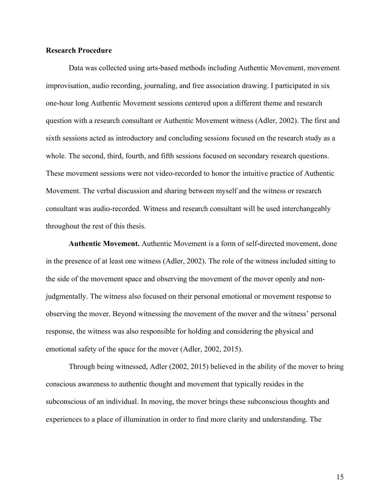#### **Research Procedure**

Data was collected using arts-based methods including Authentic Movement, movement improvisation, audio recording, journaling, and free association drawing. I participated in six one-hour long Authentic Movement sessions centered upon a different theme and research question with a research consultant or Authentic Movement witness (Adler, 2002). The first and sixth sessions acted as introductory and concluding sessions focused on the research study as a whole. The second, third, fourth, and fifth sessions focused on secondary research questions. These movement sessions were not video-recorded to honor the intuitive practice of Authentic Movement. The verbal discussion and sharing between myself and the witness or research consultant was audio-recorded. Witness and research consultant will be used interchangeably throughout the rest of this thesis.

**Authentic Movement.** Authentic Movement is a form of self-directed movement, done in the presence of at least one witness (Adler, 2002). The role of the witness included sitting to the side of the movement space and observing the movement of the mover openly and nonjudgmentally. The witness also focused on their personal emotional or movement response to observing the mover. Beyond witnessing the movement of the mover and the witness' personal response, the witness was also responsible for holding and considering the physical and emotional safety of the space for the mover (Adler, 2002, 2015).

Through being witnessed, Adler (2002, 2015) believed in the ability of the mover to bring conscious awareness to authentic thought and movement that typically resides in the subconscious of an individual. In moving, the mover brings these subconscious thoughts and experiences to a place of illumination in order to find more clarity and understanding. The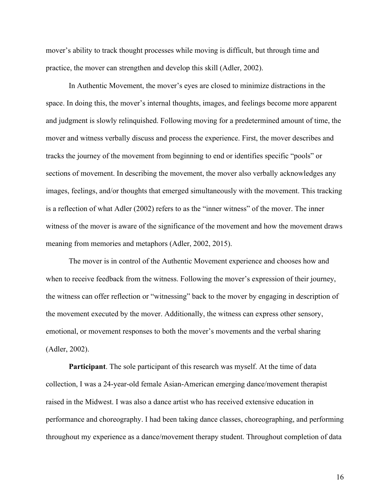mover's ability to track thought processes while moving is difficult, but through time and practice, the mover can strengthen and develop this skill (Adler, 2002).

In Authentic Movement, the mover's eyes are closed to minimize distractions in the space. In doing this, the mover's internal thoughts, images, and feelings become more apparent and judgment is slowly relinquished. Following moving for a predetermined amount of time, the mover and witness verbally discuss and process the experience. First, the mover describes and tracks the journey of the movement from beginning to end or identifies specific "pools" or sections of movement. In describing the movement, the mover also verbally acknowledges any images, feelings, and/or thoughts that emerged simultaneously with the movement. This tracking is a reflection of what Adler (2002) refers to as the "inner witness" of the mover. The inner witness of the mover is aware of the significance of the movement and how the movement draws meaning from memories and metaphors (Adler, 2002, 2015).

The mover is in control of the Authentic Movement experience and chooses how and when to receive feedback from the witness. Following the mover's expression of their journey, the witness can offer reflection or "witnessing" back to the mover by engaging in description of the movement executed by the mover. Additionally, the witness can express other sensory, emotional, or movement responses to both the mover's movements and the verbal sharing (Adler, 2002).

**Participant**. The sole participant of this research was myself. At the time of data collection, I was a 24-year-old female Asian-American emerging dance/movement therapist raised in the Midwest. I was also a dance artist who has received extensive education in performance and choreography. I had been taking dance classes, choreographing, and performing throughout my experience as a dance/movement therapy student. Throughout completion of data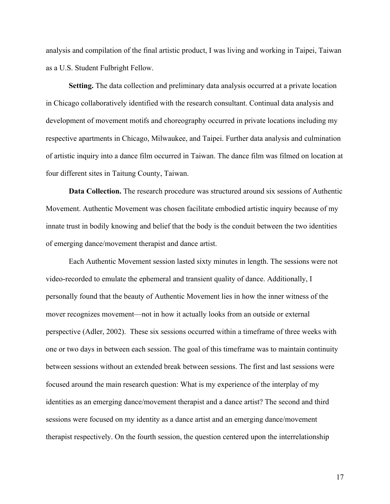analysis and compilation of the final artistic product, I was living and working in Taipei, Taiwan as a U.S. Student Fulbright Fellow.

**Setting.** The data collection and preliminary data analysis occurred at a private location in Chicago collaboratively identified with the research consultant. Continual data analysis and development of movement motifs and choreography occurred in private locations including my respective apartments in Chicago, Milwaukee, and Taipei. Further data analysis and culmination of artistic inquiry into a dance film occurred in Taiwan. The dance film was filmed on location at four different sites in Taitung County, Taiwan.

**Data Collection.** The research procedure was structured around six sessions of Authentic Movement. Authentic Movement was chosen facilitate embodied artistic inquiry because of my innate trust in bodily knowing and belief that the body is the conduit between the two identities of emerging dance/movement therapist and dance artist.

Each Authentic Movement session lasted sixty minutes in length. The sessions were not video-recorded to emulate the ephemeral and transient quality of dance. Additionally, I personally found that the beauty of Authentic Movement lies in how the inner witness of the mover recognizes movement—not in how it actually looks from an outside or external perspective (Adler, 2002). These six sessions occurred within a timeframe of three weeks with one or two days in between each session. The goal of this timeframe was to maintain continuity between sessions without an extended break between sessions. The first and last sessions were focused around the main research question: What is my experience of the interplay of my identities as an emerging dance/movement therapist and a dance artist? The second and third sessions were focused on my identity as a dance artist and an emerging dance/movement therapist respectively. On the fourth session, the question centered upon the interrelationship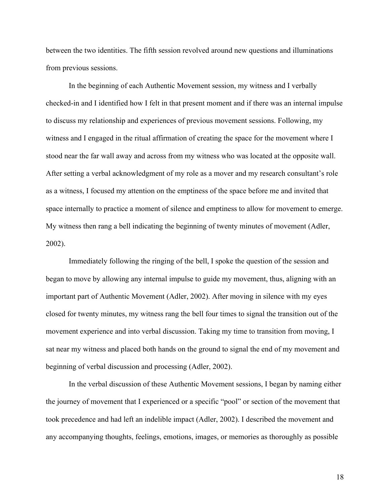between the two identities. The fifth session revolved around new questions and illuminations from previous sessions.

In the beginning of each Authentic Movement session, my witness and I verbally checked-in and I identified how I felt in that present moment and if there was an internal impulse to discuss my relationship and experiences of previous movement sessions. Following, my witness and I engaged in the ritual affirmation of creating the space for the movement where I stood near the far wall away and across from my witness who was located at the opposite wall. After setting a verbal acknowledgment of my role as a mover and my research consultant's role as a witness, I focused my attention on the emptiness of the space before me and invited that space internally to practice a moment of silence and emptiness to allow for movement to emerge. My witness then rang a bell indicating the beginning of twenty minutes of movement (Adler, 2002).

Immediately following the ringing of the bell, I spoke the question of the session and began to move by allowing any internal impulse to guide my movement, thus, aligning with an important part of Authentic Movement (Adler, 2002). After moving in silence with my eyes closed for twenty minutes, my witness rang the bell four times to signal the transition out of the movement experience and into verbal discussion. Taking my time to transition from moving, I sat near my witness and placed both hands on the ground to signal the end of my movement and beginning of verbal discussion and processing (Adler, 2002).

In the verbal discussion of these Authentic Movement sessions, I began by naming either the journey of movement that I experienced or a specific "pool" or section of the movement that took precedence and had left an indelible impact (Adler, 2002). I described the movement and any accompanying thoughts, feelings, emotions, images, or memories as thoroughly as possible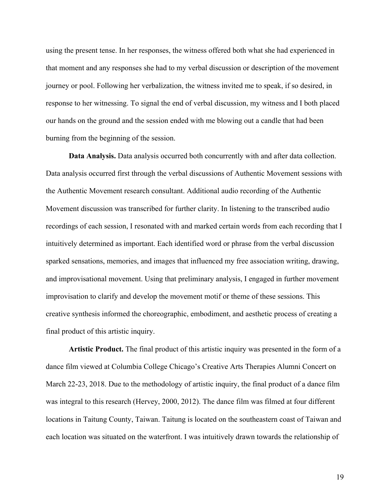using the present tense. In her responses, the witness offered both what she had experienced in that moment and any responses she had to my verbal discussion or description of the movement journey or pool. Following her verbalization, the witness invited me to speak, if so desired, in response to her witnessing. To signal the end of verbal discussion, my witness and I both placed our hands on the ground and the session ended with me blowing out a candle that had been burning from the beginning of the session.

**Data Analysis.** Data analysis occurred both concurrently with and after data collection. Data analysis occurred first through the verbal discussions of Authentic Movement sessions with the Authentic Movement research consultant. Additional audio recording of the Authentic Movement discussion was transcribed for further clarity. In listening to the transcribed audio recordings of each session, I resonated with and marked certain words from each recording that I intuitively determined as important. Each identified word or phrase from the verbal discussion sparked sensations, memories, and images that influenced my free association writing, drawing, and improvisational movement. Using that preliminary analysis, I engaged in further movement improvisation to clarify and develop the movement motif or theme of these sessions. This creative synthesis informed the choreographic, embodiment, and aesthetic process of creating a final product of this artistic inquiry.

**Artistic Product.** The final product of this artistic inquiry was presented in the form of a dance film viewed at Columbia College Chicago's Creative Arts Therapies Alumni Concert on March 22-23, 2018. Due to the methodology of artistic inquiry, the final product of a dance film was integral to this research (Hervey, 2000, 2012). The dance film was filmed at four different locations in Taitung County, Taiwan. Taitung is located on the southeastern coast of Taiwan and each location was situated on the waterfront. I was intuitively drawn towards the relationship of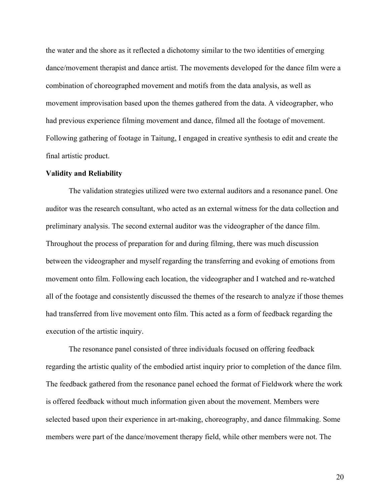the water and the shore as it reflected a dichotomy similar to the two identities of emerging dance/movement therapist and dance artist. The movements developed for the dance film were a combination of choreographed movement and motifs from the data analysis, as well as movement improvisation based upon the themes gathered from the data. A videographer, who had previous experience filming movement and dance, filmed all the footage of movement. Following gathering of footage in Taitung, I engaged in creative synthesis to edit and create the final artistic product.

#### **Validity and Reliability**

The validation strategies utilized were two external auditors and a resonance panel. One auditor was the research consultant, who acted as an external witness for the data collection and preliminary analysis. The second external auditor was the videographer of the dance film. Throughout the process of preparation for and during filming, there was much discussion between the videographer and myself regarding the transferring and evoking of emotions from movement onto film. Following each location, the videographer and I watched and re-watched all of the footage and consistently discussed the themes of the research to analyze if those themes had transferred from live movement onto film. This acted as a form of feedback regarding the execution of the artistic inquiry.

The resonance panel consisted of three individuals focused on offering feedback regarding the artistic quality of the embodied artist inquiry prior to completion of the dance film. The feedback gathered from the resonance panel echoed the format of Fieldwork where the work is offered feedback without much information given about the movement. Members were selected based upon their experience in art-making, choreography, and dance filmmaking. Some members were part of the dance/movement therapy field, while other members were not. The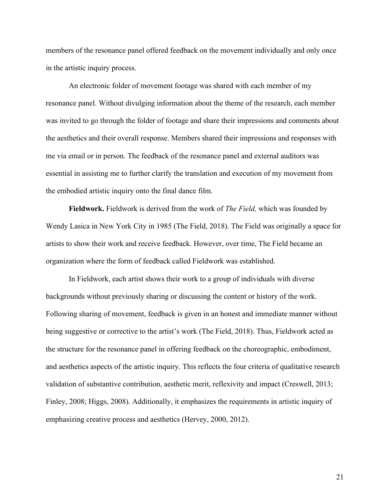members of the resonance panel offered feedback on the movement individually and only once in the artistic inquiry process.

An electronic folder of movement footage was shared with each member of my resonance panel. Without divulging information about the theme of the research, each member was invited to go through the folder of footage and share their impressions and comments about the aesthetics and their overall response. Members shared their impressions and responses with me via email or in person. The feedback of the resonance panel and external auditors was essential in assisting me to further clarify the translation and execution of my movement from the embodied artistic inquiry onto the final dance film.

**Fieldwork.** Fieldwork is derived from the work of *The Field,* which was founded by Wendy Lasica in New York City in 1985 (The Field, 2018). The Field was originally a space for artists to show their work and receive feedback. However, over time, The Field became an organization where the form of feedback called Fieldwork was established.

In Fieldwork, each artist shows their work to a group of individuals with diverse backgrounds without previously sharing or discussing the content or history of the work. Following sharing of movement, feedback is given in an honest and immediate manner without being suggestive or corrective to the artist's work (The Field, 2018). Thus, Fieldwork acted as the structure for the resonance panel in offering feedback on the choreographic, embodiment, and aesthetics aspects of the artistic inquiry. This reflects the four criteria of qualitative research validation of substantive contribution, aesthetic merit, reflexivity and impact (Creswell, 2013; Finley, 2008; Higgs, 2008). Additionally, it emphasizes the requirements in artistic inquiry of emphasizing creative process and aesthetics (Hervey, 2000, 2012).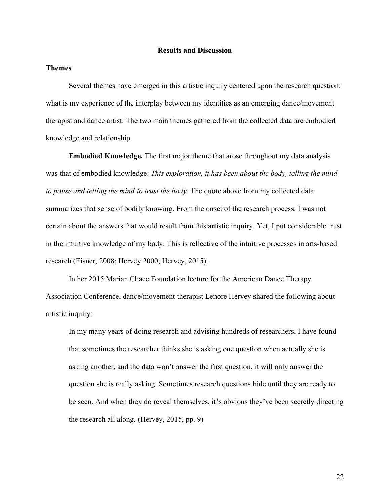#### **Results and Discussion**

## **Themes**

Several themes have emerged in this artistic inquiry centered upon the research question: what is my experience of the interplay between my identities as an emerging dance/movement therapist and dance artist. The two main themes gathered from the collected data are embodied knowledge and relationship.

**Embodied Knowledge.** The first major theme that arose throughout my data analysis was that of embodied knowledge: *This exploration, it has been about the body, telling the mind to pause and telling the mind to trust the body.* The quote above from my collected data summarizes that sense of bodily knowing. From the onset of the research process, I was not certain about the answers that would result from this artistic inquiry. Yet, I put considerable trust in the intuitive knowledge of my body. This is reflective of the intuitive processes in arts-based research (Eisner, 2008; Hervey 2000; Hervey, 2015).

In her 2015 Marian Chace Foundation lecture for the American Dance Therapy Association Conference, dance/movement therapist Lenore Hervey shared the following about artistic inquiry:

In my many years of doing research and advising hundreds of researchers, I have found that sometimes the researcher thinks she is asking one question when actually she is asking another, and the data won't answer the first question, it will only answer the question she is really asking. Sometimes research questions hide until they are ready to be seen. And when they do reveal themselves, it's obvious they've been secretly directing the research all along. (Hervey, 2015, pp. 9)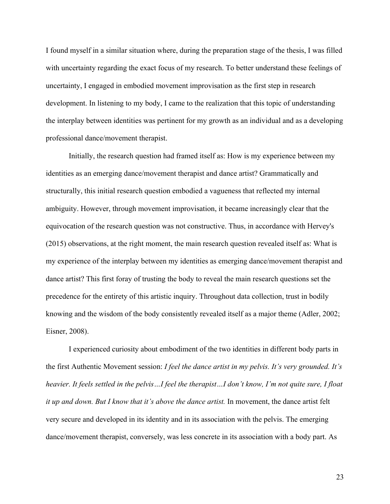I found myself in a similar situation where, during the preparation stage of the thesis, I was filled with uncertainty regarding the exact focus of my research. To better understand these feelings of uncertainty, I engaged in embodied movement improvisation as the first step in research development. In listening to my body, I came to the realization that this topic of understanding the interplay between identities was pertinent for my growth as an individual and as a developing professional dance/movement therapist.

Initially, the research question had framed itself as: How is my experience between my identities as an emerging dance/movement therapist and dance artist? Grammatically and structurally, this initial research question embodied a vagueness that reflected my internal ambiguity. However, through movement improvisation, it became increasingly clear that the equivocation of the research question was not constructive. Thus, in accordance with Hervey's (2015) observations, at the right moment, the main research question revealed itself as: What is my experience of the interplay between my identities as emerging dance/movement therapist and dance artist? This first foray of trusting the body to reveal the main research questions set the precedence for the entirety of this artistic inquiry. Throughout data collection, trust in bodily knowing and the wisdom of the body consistently revealed itself as a major theme (Adler, 2002; Eisner, 2008).

I experienced curiosity about embodiment of the two identities in different body parts in the first Authentic Movement session: *I feel the dance artist in my pelvis. It's very grounded. It's heavier. It feels settled in the pelvis…I feel the therapist…I don't know, I'm not quite sure, I float it up and down. But I know that it's above the dance artist.* In movement, the dance artist felt very secure and developed in its identity and in its association with the pelvis. The emerging dance/movement therapist, conversely, was less concrete in its association with a body part. As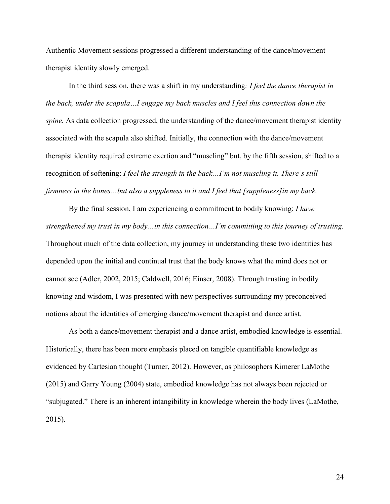Authentic Movement sessions progressed a different understanding of the dance/movement therapist identity slowly emerged.

In the third session, there was a shift in my understanding*: I feel the dance therapist in the back, under the scapula…I engage my back muscles and I feel this connection down the spine.* As data collection progressed, the understanding of the dance/movement therapist identity associated with the scapula also shifted. Initially, the connection with the dance/movement therapist identity required extreme exertion and "muscling" but, by the fifth session, shifted to a recognition of softening: *I feel the strength in the back…I'm not muscling it. There's still firmness in the bones…but also a suppleness to it and I feel that [suppleness]in my back.*

By the final session, I am experiencing a commitment to bodily knowing: *I have strengthened my trust in my body…in this connection…I'm committing to this journey of trusting.*  Throughout much of the data collection, my journey in understanding these two identities has depended upon the initial and continual trust that the body knows what the mind does not or cannot see (Adler, 2002, 2015; Caldwell, 2016; Einser, 2008). Through trusting in bodily knowing and wisdom, I was presented with new perspectives surrounding my preconceived notions about the identities of emerging dance/movement therapist and dance artist.

As both a dance/movement therapist and a dance artist, embodied knowledge is essential. Historically, there has been more emphasis placed on tangible quantifiable knowledge as evidenced by Cartesian thought (Turner, 2012). However, as philosophers Kimerer LaMothe (2015) and Garry Young (2004) state, embodied knowledge has not always been rejected or "subjugated." There is an inherent intangibility in knowledge wherein the body lives (LaMothe, 2015).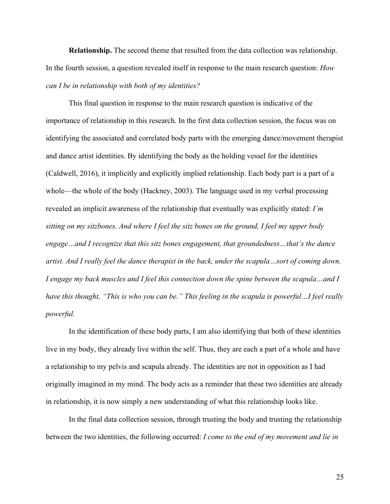**Relationship.** The second theme that resulted from the data collection was relationship. In the fourth session, a question revealed itself in response to the main research question: *How can I be in relationship with both of my identities?*

This final question in response to the main research question is indicative of the importance of relationship in this research. In the first data collection session, the focus was on identifying the associated and correlated body parts with the emerging dance/movement therapist and dance artist identities. By identifying the body as the holding vessel for the identities (Caldwell, 2016), it implicitly and explicitly implied relationship. Each body part is a part of a whole—the whole of the body (Hackney, 2003). The language used in my verbal processing revealed an implicit awareness of the relationship that eventually was explicitly stated: *I'm sitting on my sitzbones. And where I feel the sitz bones on the ground, I feel my upper body engage…and I recognize that this sitz bones engagement, that groundedness…that's the dance artist. And I really feel the dance therapist in the back, under the scapula…sort of coming down. I engage my back muscles and I feel this connection down the spine between the scapula…and I have this thought, "This is who you can be." This feeling in the scapula is powerful…I feel really powerful.*

In the identification of these body parts, I am also identifying that both of these identities live in my body, they already live within the self. Thus, they are each a part of a whole and have a relationship to my pelvis and scapula already. The identities are not in opposition as I had originally imagined in my mind. The body acts as a reminder that these two identities are already in relationship, it is now simply a new understanding of what this relationship looks like.

In the final data collection session, through trusting the body and trusting the relationship between the two identities, the following occurred: *I come to the end of my movement and lie in*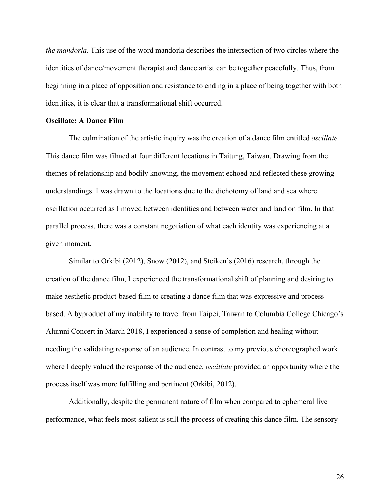*the mandorla.* This use of the word mandorla describes the intersection of two circles where the identities of dance/movement therapist and dance artist can be together peacefully. Thus, from beginning in a place of opposition and resistance to ending in a place of being together with both identities, it is clear that a transformational shift occurred.

#### **Oscillate: A Dance Film**

The culmination of the artistic inquiry was the creation of a dance film entitled *oscillate.*  This dance film was filmed at four different locations in Taitung, Taiwan. Drawing from the themes of relationship and bodily knowing, the movement echoed and reflected these growing understandings. I was drawn to the locations due to the dichotomy of land and sea where oscillation occurred as I moved between identities and between water and land on film. In that parallel process, there was a constant negotiation of what each identity was experiencing at a given moment.

Similar to Orkibi (2012), Snow (2012), and Steiken's (2016) research, through the creation of the dance film, I experienced the transformational shift of planning and desiring to make aesthetic product-based film to creating a dance film that was expressive and processbased. A byproduct of my inability to travel from Taipei, Taiwan to Columbia College Chicago's Alumni Concert in March 2018, I experienced a sense of completion and healing without needing the validating response of an audience. In contrast to my previous choreographed work where I deeply valued the response of the audience, *oscillate* provided an opportunity where the process itself was more fulfilling and pertinent (Orkibi, 2012).

Additionally, despite the permanent nature of film when compared to ephemeral live performance, what feels most salient is still the process of creating this dance film. The sensory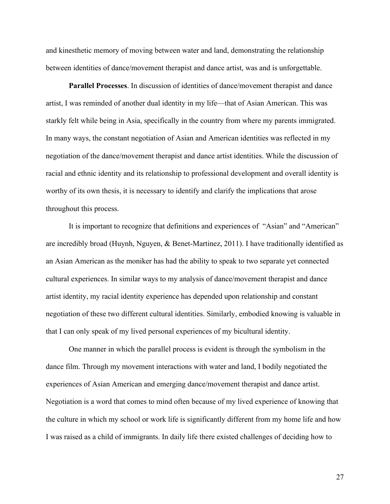and kinesthetic memory of moving between water and land, demonstrating the relationship between identities of dance/movement therapist and dance artist, was and is unforgettable.

**Parallel Processes**. In discussion of identities of dance/movement therapist and dance artist, I was reminded of another dual identity in my life—that of Asian American. This was starkly felt while being in Asia, specifically in the country from where my parents immigrated. In many ways, the constant negotiation of Asian and American identities was reflected in my negotiation of the dance/movement therapist and dance artist identities. While the discussion of racial and ethnic identity and its relationship to professional development and overall identity is worthy of its own thesis, it is necessary to identify and clarify the implications that arose throughout this process.

It is important to recognize that definitions and experiences of "Asian" and "American" are incredibly broad (Huynh, Nguyen, & Benet-Martinez, 2011). I have traditionally identified as an Asian American as the moniker has had the ability to speak to two separate yet connected cultural experiences. In similar ways to my analysis of dance/movement therapist and dance artist identity, my racial identity experience has depended upon relationship and constant negotiation of these two different cultural identities. Similarly, embodied knowing is valuable in that I can only speak of my lived personal experiences of my bicultural identity.

One manner in which the parallel process is evident is through the symbolism in the dance film. Through my movement interactions with water and land, I bodily negotiated the experiences of Asian American and emerging dance/movement therapist and dance artist. Negotiation is a word that comes to mind often because of my lived experience of knowing that the culture in which my school or work life is significantly different from my home life and how I was raised as a child of immigrants. In daily life there existed challenges of deciding how to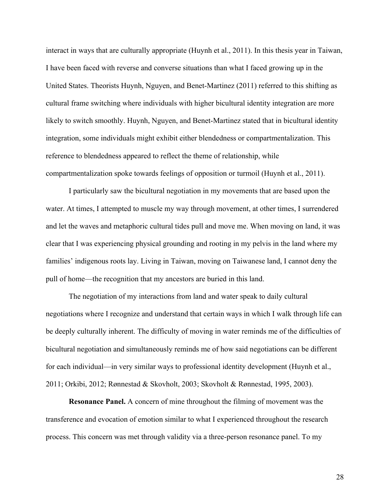interact in ways that are culturally appropriate (Huynh et al., 2011). In this thesis year in Taiwan, I have been faced with reverse and converse situations than what I faced growing up in the United States. Theorists Huynh, Nguyen, and Benet-Martinez (2011) referred to this shifting as cultural frame switching where individuals with higher bicultural identity integration are more likely to switch smoothly. Huynh, Nguyen, and Benet-Martinez stated that in bicultural identity integration, some individuals might exhibit either blendedness or compartmentalization. This reference to blendedness appeared to reflect the theme of relationship, while compartmentalization spoke towards feelings of opposition or turmoil (Huynh et al., 2011).

I particularly saw the bicultural negotiation in my movements that are based upon the water. At times, I attempted to muscle my way through movement, at other times, I surrendered and let the waves and metaphoric cultural tides pull and move me. When moving on land, it was clear that I was experiencing physical grounding and rooting in my pelvis in the land where my families' indigenous roots lay. Living in Taiwan, moving on Taiwanese land, I cannot deny the pull of home—the recognition that my ancestors are buried in this land.

The negotiation of my interactions from land and water speak to daily cultural negotiations where I recognize and understand that certain ways in which I walk through life can be deeply culturally inherent. The difficulty of moving in water reminds me of the difficulties of bicultural negotiation and simultaneously reminds me of how said negotiations can be different for each individual—in very similar ways to professional identity development (Huynh et al., 2011; Orkibi, 2012; Rønnestad & Skovholt, 2003; Skovholt & Rønnestad, 1995, 2003).

**Resonance Panel.** A concern of mine throughout the filming of movement was the transference and evocation of emotion similar to what I experienced throughout the research process. This concern was met through validity via a three-person resonance panel. To my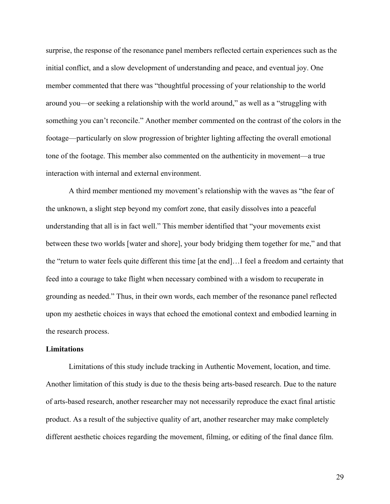surprise, the response of the resonance panel members reflected certain experiences such as the initial conflict, and a slow development of understanding and peace, and eventual joy. One member commented that there was "thoughtful processing of your relationship to the world around you—or seeking a relationship with the world around," as well as a "struggling with something you can't reconcile." Another member commented on the contrast of the colors in the footage—particularly on slow progression of brighter lighting affecting the overall emotional tone of the footage. This member also commented on the authenticity in movement—a true interaction with internal and external environment.

A third member mentioned my movement's relationship with the waves as "the fear of the unknown, a slight step beyond my comfort zone, that easily dissolves into a peaceful understanding that all is in fact well." This member identified that "your movements exist between these two worlds [water and shore], your body bridging them together for me," and that the "return to water feels quite different this time [at the end]…I feel a freedom and certainty that feed into a courage to take flight when necessary combined with a wisdom to recuperate in grounding as needed." Thus, in their own words, each member of the resonance panel reflected upon my aesthetic choices in ways that echoed the emotional context and embodied learning in the research process.

### **Limitations**

Limitations of this study include tracking in Authentic Movement, location, and time. Another limitation of this study is due to the thesis being arts-based research. Due to the nature of arts-based research, another researcher may not necessarily reproduce the exact final artistic product. As a result of the subjective quality of art, another researcher may make completely different aesthetic choices regarding the movement, filming, or editing of the final dance film.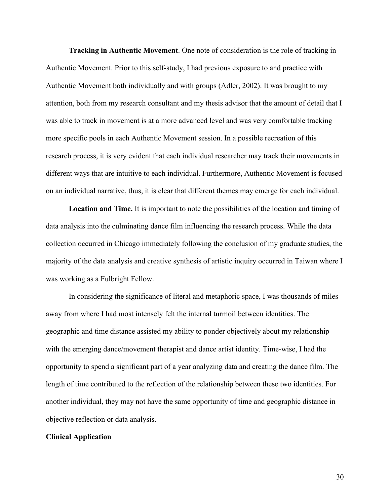**Tracking in Authentic Movement**. One note of consideration is the role of tracking in Authentic Movement. Prior to this self-study, I had previous exposure to and practice with Authentic Movement both individually and with groups (Adler, 2002). It was brought to my attention, both from my research consultant and my thesis advisor that the amount of detail that I was able to track in movement is at a more advanced level and was very comfortable tracking more specific pools in each Authentic Movement session. In a possible recreation of this research process, it is very evident that each individual researcher may track their movements in different ways that are intuitive to each individual. Furthermore, Authentic Movement is focused on an individual narrative, thus, it is clear that different themes may emerge for each individual.

**Location and Time.** It is important to note the possibilities of the location and timing of data analysis into the culminating dance film influencing the research process. While the data collection occurred in Chicago immediately following the conclusion of my graduate studies, the majority of the data analysis and creative synthesis of artistic inquiry occurred in Taiwan where I was working as a Fulbright Fellow.

In considering the significance of literal and metaphoric space, I was thousands of miles away from where I had most intensely felt the internal turmoil between identities. The geographic and time distance assisted my ability to ponder objectively about my relationship with the emerging dance/movement therapist and dance artist identity. Time-wise, I had the opportunity to spend a significant part of a year analyzing data and creating the dance film. The length of time contributed to the reflection of the relationship between these two identities. For another individual, they may not have the same opportunity of time and geographic distance in objective reflection or data analysis.

#### **Clinical Application**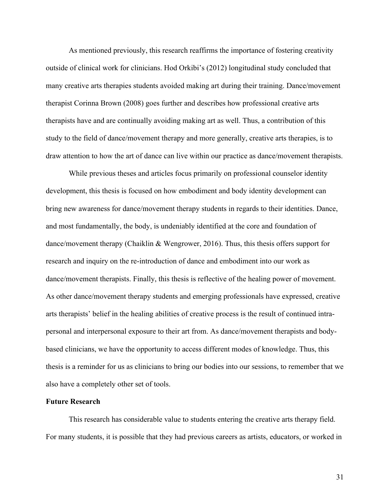As mentioned previously, this research reaffirms the importance of fostering creativity outside of clinical work for clinicians. Hod Orkibi's (2012) longitudinal study concluded that many creative arts therapies students avoided making art during their training. Dance/movement therapist Corinna Brown (2008) goes further and describes how professional creative arts therapists have and are continually avoiding making art as well. Thus, a contribution of this study to the field of dance/movement therapy and more generally, creative arts therapies, is to draw attention to how the art of dance can live within our practice as dance/movement therapists.

While previous theses and articles focus primarily on professional counselor identity development, this thesis is focused on how embodiment and body identity development can bring new awareness for dance/movement therapy students in regards to their identities. Dance, and most fundamentally, the body, is undeniably identified at the core and foundation of dance/movement therapy (Chaiklin & Wengrower, 2016). Thus, this thesis offers support for research and inquiry on the re-introduction of dance and embodiment into our work as dance/movement therapists. Finally, this thesis is reflective of the healing power of movement. As other dance/movement therapy students and emerging professionals have expressed, creative arts therapists' belief in the healing abilities of creative process is the result of continued intrapersonal and interpersonal exposure to their art from. As dance/movement therapists and bodybased clinicians, we have the opportunity to access different modes of knowledge. Thus, this thesis is a reminder for us as clinicians to bring our bodies into our sessions, to remember that we also have a completely other set of tools.

### **Future Research**

This research has considerable value to students entering the creative arts therapy field. For many students, it is possible that they had previous careers as artists, educators, or worked in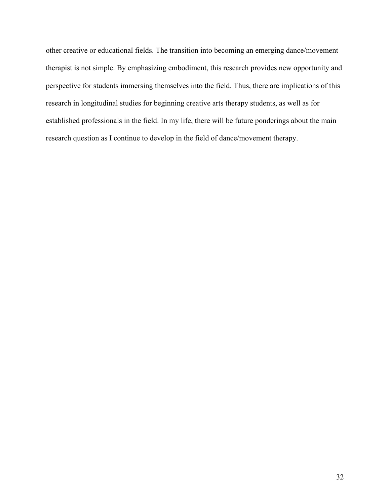other creative or educational fields. The transition into becoming an emerging dance/movement therapist is not simple. By emphasizing embodiment, this research provides new opportunity and perspective for students immersing themselves into the field. Thus, there are implications of this research in longitudinal studies for beginning creative arts therapy students, as well as for established professionals in the field. In my life, there will be future ponderings about the main research question as I continue to develop in the field of dance/movement therapy.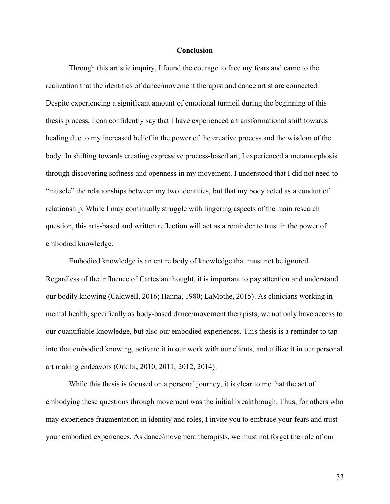#### **Conclusion**

Through this artistic inquiry, I found the courage to face my fears and came to the realization that the identities of dance/movement therapist and dance artist are connected. Despite experiencing a significant amount of emotional turmoil during the beginning of this thesis process, I can confidently say that I have experienced a transformational shift towards healing due to my increased belief in the power of the creative process and the wisdom of the body. In shifting towards creating expressive process-based art, I experienced a metamorphosis through discovering softness and openness in my movement. I understood that I did not need to "muscle" the relationships between my two identities, but that my body acted as a conduit of relationship. While I may continually struggle with lingering aspects of the main research question, this arts-based and written reflection will act as a reminder to trust in the power of embodied knowledge.

Embodied knowledge is an entire body of knowledge that must not be ignored. Regardless of the influence of Cartesian thought, it is important to pay attention and understand our bodily knowing (Caldwell, 2016; Hanna, 1980; LaMothe, 2015). As clinicians working in mental health, specifically as body-based dance/movement therapists, we not only have access to our quantifiable knowledge, but also our embodied experiences. This thesis is a reminder to tap into that embodied knowing, activate it in our work with our clients, and utilize it in our personal art making endeavors (Orkibi, 2010, 2011, 2012, 2014).

While this thesis is focused on a personal journey, it is clear to me that the act of embodying these questions through movement was the initial breakthrough. Thus, for others who may experience fragmentation in identity and roles, I invite you to embrace your fears and trust your embodied experiences. As dance/movement therapists, we must not forget the role of our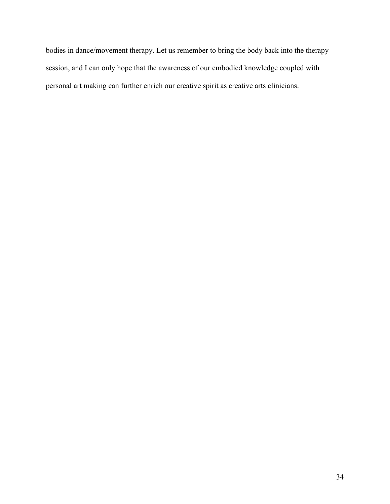bodies in dance/movement therapy. Let us remember to bring the body back into the therapy session, and I can only hope that the awareness of our embodied knowledge coupled with personal art making can further enrich our creative spirit as creative arts clinicians.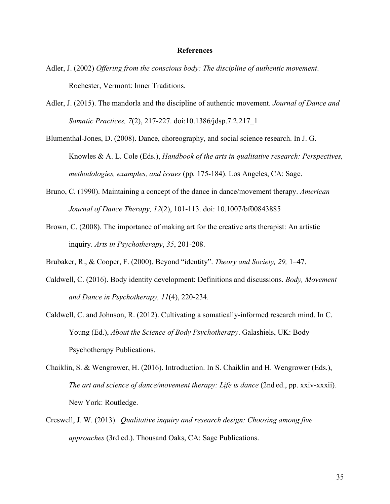#### **References**

- Adler, J. (2002) *Offering from the conscious body: The discipline of authentic movement*. Rochester, Vermont: Inner Traditions.
- Adler, J. (2015). The mandorla and the discipline of authentic movement. *Journal of Dance and Somatic Practices, 7*(2), 217-227. doi:10.1386/jdsp.7.2.217\_1

Blumenthal-Jones, D. (2008). Dance, choreography, and social science research. In J. G. Knowles & A. L. Cole (Eds.), *Handbook of the arts in qualitative research: Perspectives, methodologies, examples, and issues* (pp*.* 175-184). Los Angeles, CA: Sage.

- Bruno, C. (1990). Maintaining a concept of the dance in dance/movement therapy. *American Journal of Dance Therapy, 12*(2), 101-113. doi: 10.1007/bf00843885
- Brown, C. (2008). The importance of making art for the creative arts therapist: An artistic inquiry. *Arts in Psychotherapy*, *35*, 201-208.
- Brubaker, R., & Cooper, F. (2000). Beyond "identity". *Theory and Society, 29,* 1–47.
- Caldwell, C. (2016). Body identity development: Definitions and discussions. *Body, Movement and Dance in Psychotherapy, 11*(4), 220-234.
- Caldwell, C. and Johnson, R. (2012). Cultivating a somatically-informed research mind. In C. Young (Ed.), *About the Science of Body Psychotherapy*. Galashiels, UK: Body Psychotherapy Publications.
- Chaiklin, S. & Wengrower, H. (2016). Introduction. In S. Chaiklin and H. Wengrower (Eds.), *The art and science of dance/movement therapy: Life is dance (2nd ed., pp. xxiv-xxxii).* New York: Routledge.
- Creswell, J. W. (2013). *Qualitative inquiry and research design: Choosing among five approaches* (3rd ed.). Thousand Oaks, CA: Sage Publications.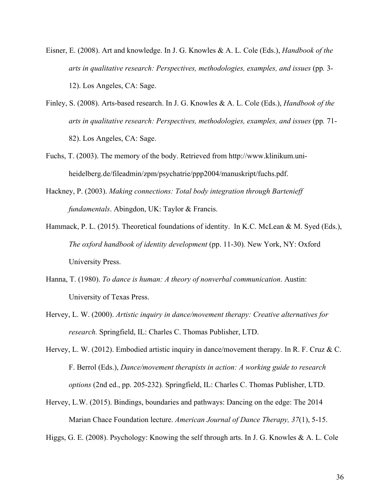- Eisner, E. (2008). Art and knowledge. In J. G. Knowles & A. L. Cole (Eds.), *Handbook of the arts in qualitative research: Perspectives, methodologies, examples, and issues* (pp*.* 3- 12). Los Angeles, CA: Sage.
- Finley, S. (2008). Arts-based research. In J. G. Knowles & A. L. Cole (Eds.), *Handbook of the arts in qualitative research: Perspectives, methodologies, examples, and issues* (pp*.* 71- 82). Los Angeles, CA: Sage.
- Fuchs, T. (2003). The memory of the body. Retrieved from http://www.klinikum.uniheidelberg.de/fileadmin/zpm/psychatrie/ppp2004/manuskript/fuchs.pdf.
- Hackney, P. (2003). *Making connections: Total body integration through Bartenieff fundamentals*. Abingdon, UK: Taylor & Francis.
- Hammack, P. L. (2015). Theoretical foundations of identity. In K.C. McLean & M. Syed (Eds.), *The oxford handbook of identity development* (pp. 11-30)*.* New York, NY: Oxford University Press.
- Hanna, T. (1980). *To dance is human: A theory of nonverbal communication*. Austin: University of Texas Press.
- Hervey, L. W. (2000). *Artistic inquiry in dance/movement therapy: Creative alternatives for research.* Springfield, IL: Charles C. Thomas Publisher, LTD.
- Hervey, L. W. (2012). Embodied artistic inquiry in dance/movement therapy. In R. F. Cruz & C. F. Berrol (Eds.), *Dance/movement therapists in action: A working guide to research options* (2nd ed., pp. 205-232)*.* Springfield, IL: Charles C. Thomas Publisher, LTD.
- Hervey, L.W. (2015). Bindings, boundaries and pathways: Dancing on the edge: The 2014 Marian Chace Foundation lecture. *American Journal of Dance Therapy, 37*(1), 5-15.
- Higgs, G. E. (2008). Psychology: Knowing the self through arts. In J. G. Knowles & A. L. Cole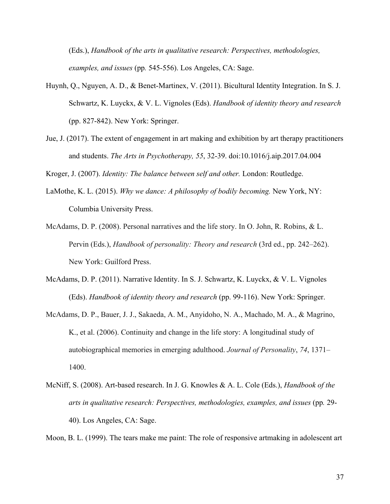(Eds.), *Handbook of the arts in qualitative research: Perspectives, methodologies, examples, and issues* (pp*.* 545-556). Los Angeles, CA: Sage.

- Huynh, Q., Nguyen, A. D., & Benet-Martinex, V. (2011). Bicultural Identity Integration. In S. J. Schwartz, K. Luyckx, & V. L. Vignoles (Eds). *Handbook of identity theory and research*  (pp. 827-842). New York: Springer.
- Jue, J. (2017). The extent of engagement in art making and exhibition by art therapy practitioners and students. *The Arts in Psychotherapy, 55*, 32-39. doi:10.1016/j.aip.2017.04.004

Kroger, J. (2007). *Identity: The balance between self and other.* London: Routledge.

- LaMothe, K. L. (2015). *Why we dance: A philosophy of bodily becoming.* New York, NY: Columbia University Press.
- McAdams, D. P. (2008). Personal narratives and the life story. In O. John, R. Robins, & L. Pervin (Eds.), *Handbook of personality: Theory and research* (3rd ed., pp. 242–262). New York: Guilford Press.
- McAdams, D. P. (2011). Narrative Identity. In S. J. Schwartz, K. Luyckx, & V. L. Vignoles (Eds). *Handbook of identity theory and research* (pp. 99-116). New York: Springer.
- McAdams, D. P., Bauer, J. J., Sakaeda, A. M., Anyidoho, N. A., Machado, M. A., & Magrino, K., et al. (2006). Continuity and change in the life story: A longitudinal study of autobiographical memories in emerging adulthood. *Journal of Personality*, *74*, 1371– 1400.
- McNiff, S. (2008). Art-based research. In J. G. Knowles & A. L. Cole (Eds.), *Handbook of the arts in qualitative research: Perspectives, methodologies, examples, and issues* (pp*.* 29- 40). Los Angeles, CA: Sage.

Moon, B. L. (1999). The tears make me paint: The role of responsive artmaking in adolescent art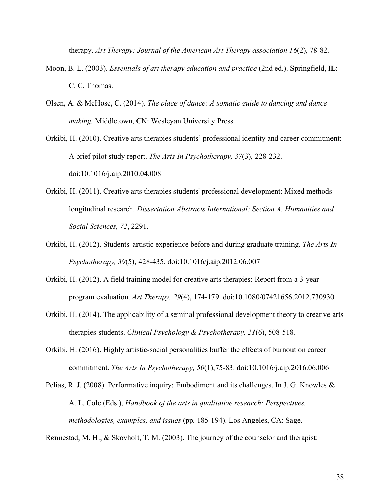therapy. *Art Therapy: Journal of the American Art Therapy association 16*(2), 78-82.

- Moon, B. L. (2003). *Essentials of art therapy education and practice* (2nd ed.). Springfield, IL: C. C. Thomas.
- Olsen, A. & McHose, C. (2014). *The place of dance: A somatic guide to dancing and dance making.* Middletown, CN: Wesleyan University Press.
- Orkibi, H. (2010). Creative arts therapies students' professional identity and career commitment: A brief pilot study report. *The Arts In Psychotherapy, 37*(3), 228-232. doi:10.1016/j.aip.2010.04.008
- Orkibi, H. (2011). Creative arts therapies students' professional development: Mixed methods longitudinal research. *Dissertation Abstracts International: Section A. Humanities and Social Sciences, 72*, 2291.
- Orkibi, H. (2012). Students' artistic experience before and during graduate training. *The Arts In Psychotherapy, 39*(5), 428-435. doi:10.1016/j.aip.2012.06.007
- Orkibi, H. (2012). A field training model for creative arts therapies: Report from a 3-year program evaluation. *Art Therapy, 29*(4), 174-179. doi:10.1080/07421656.2012.730930
- Orkibi, H. (2014). The applicability of a seminal professional development theory to creative arts therapies students. *Clinical Psychology & Psychotherapy, 21*(6), 508-518.
- Orkibi, H. (2016). Highly artistic-social personalities buffer the effects of burnout on career commitment. *The Arts In Psychotherapy, 50*(1),75-83. doi:10.1016/j.aip.2016.06.006
- Pelias, R. J. (2008). Performative inquiry: Embodiment and its challenges. In J. G. Knowles & A. L. Cole (Eds.), *Handbook of the arts in qualitative research: Perspectives, methodologies, examples, and issues* (pp*.* 185-194). Los Angeles, CA: Sage.

Rønnestad, M. H., & Skovholt, T. M. (2003). The journey of the counselor and therapist: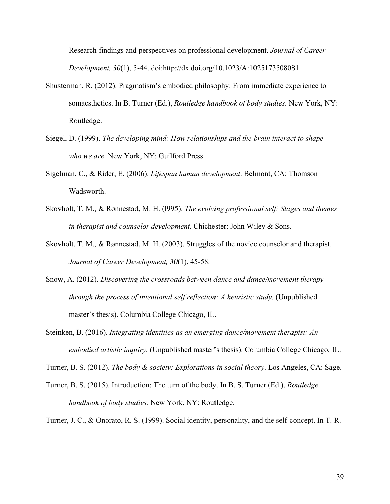Research findings and perspectives on professional development. *Journal of Career Development, 30*(1), 5-44. doi:http://dx.doi.org/10.1023/A:1025173508081

- Shusterman, R. (2012). Pragmatism's embodied philosophy: From immediate experience to somaesthetics. In B. Turner (Ed.), *Routledge handbook of body studies*. New York, NY: Routledge.
- Siegel, D. (1999). *The developing mind: How relationships and the brain interact to shape who we are*. New York, NY: Guilford Press.
- Sigelman, C., & Rider, E. (2006). *Lifespan human development*. Belmont, CA: Thomson Wadsworth.
- Skovholt, T. M., & Rønnestad, M. H. (l995). *The evolving professional self: Stages and themes in therapist and counselor development*. Chichester: John Wiley & Sons.
- Skovholt, T. M., & Rønnestad, M. H. (2003). Struggles of the novice counselor and therapist*. Journal of Career Development, 30*(1), 45-58.
- Snow, A. (2012). *Discovering the crossroads between dance and dance/movement therapy through the process of intentional self reflection: A heuristic study.* (Unpublished master's thesis). Columbia College Chicago, IL.
- Steinken, B. (2016). *Integrating identities as an emerging dance/movement therapist: An embodied artistic inquiry.* (Unpublished master's thesis). Columbia College Chicago, IL.

Turner, B. S. (2012). *The body & society: Explorations in social theory*. Los Angeles, CA: Sage.

Turner, B. S. (2015). Introduction: The turn of the body. In B. S. Turner (Ed.), *Routledge handbook of body studies.* New York, NY: Routledge.

Turner, J. C., & Onorato, R. S. (1999). Social identity, personality, and the self-concept. In T. R.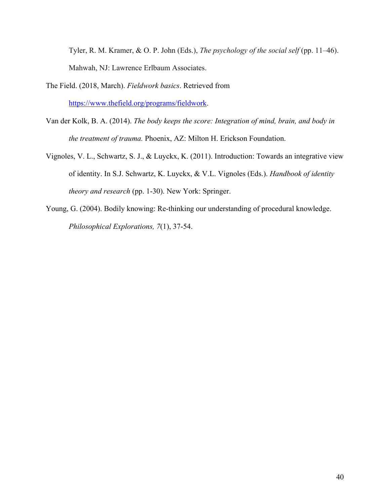Tyler, R. M. Kramer, & O. P. John (Eds.), *The psychology of the social self* (pp. 11–46). Mahwah, NJ: Lawrence Erlbaum Associates.

- The Field. (2018, March). *Fieldwork basics*. Retrieved from https://www.thefield.org/programs/fieldwork.
- Van der Kolk, B. A. (2014). *The body keeps the score: Integration of mind, brain, and body in the treatment of trauma.* Phoenix, AZ: Milton H. Erickson Foundation.
- Vignoles, V. L., Schwartz, S. J., & Luyckx, K. (2011). Introduction: Towards an integrative view of identity. In S.J. Schwartz, K. Luyckx, & V.L. Vignoles (Eds.). *Handbook of identity theory and research* (pp. 1-30). New York: Springer.
- Young, G. (2004). Bodily knowing: Re-thinking our understanding of procedural knowledge. *Philosophical Explorations, 7*(1), 37-54.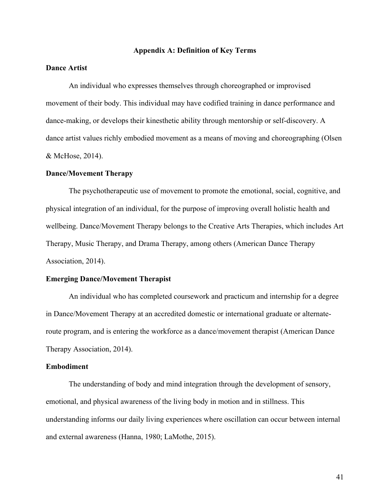#### **Appendix A: Definition of Key Terms**

# **Dance Artist**

An individual who expresses themselves through choreographed or improvised movement of their body. This individual may have codified training in dance performance and dance-making, or develops their kinesthetic ability through mentorship or self-discovery. A dance artist values richly embodied movement as a means of moving and choreographing (Olsen & McHose, 2014).

#### **Dance/Movement Therapy**

The psychotherapeutic use of movement to promote the emotional, social, cognitive, and physical integration of an individual, for the purpose of improving overall holistic health and wellbeing. Dance/Movement Therapy belongs to the Creative Arts Therapies, which includes Art Therapy, Music Therapy, and Drama Therapy, among others (American Dance Therapy Association, 2014).

#### **Emerging Dance/Movement Therapist**

An individual who has completed coursework and practicum and internship for a degree in Dance/Movement Therapy at an accredited domestic or international graduate or alternateroute program, and is entering the workforce as a dance/movement therapist (American Dance Therapy Association, 2014).

#### **Embodiment**

The understanding of body and mind integration through the development of sensory, emotional, and physical awareness of the living body in motion and in stillness. This understanding informs our daily living experiences where oscillation can occur between internal and external awareness (Hanna, 1980; LaMothe, 2015).